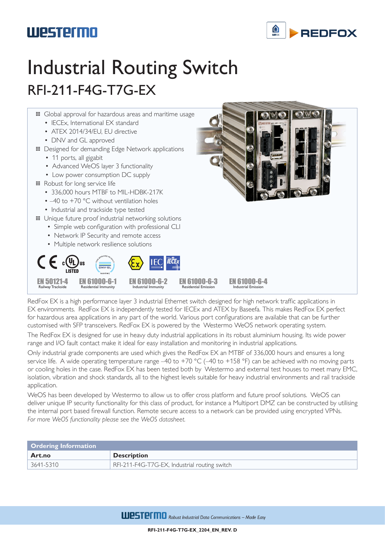#### **REDEOX**

# **Westermo**

# Industrial Routing Switch RFI-211-F4G-T7G-EX



RedFox EX is a high performance layer 3 industrial Ethernet switch designed for high network traffic applications in EX environments. RedFox EX is independently tested for IECEx and ATEX by Baseefa. This makes RedFox EX perfect for hazardous area applications in any part of the world. Various port configurations are available that can be further customised with SFP transceivers. RedFox EX is powered by the Westermo WeOS network operating system.

The RedFox EX is designed for use in heavy duty industrial applications in its robust aluminium housing. Its wide power range and I/O fault contact make it ideal for easy installation and monitoring in industrial applications.

Only industrial grade components are used which gives the RedFox EX an MTBF of 336,000 hours and ensures a long service life. A wide operating temperature range  $-40$  to  $+70$  °C ( $-40$  to  $+158$  °F) can be achieved with no moving parts or cooling holes in the case. RedFox EX has been tested both by Westermo and external test houses to meet many EMC, isolation, vibration and shock standards, all to the highest levels suitable for heavy industrial environments and rail trackside application.

WeOS has been developed by Westermo to allow us to offer cross platform and future proof solutions. WeOS can deliver unique IP security functionality for this class of product, for instance a Multiport DMZ can be constructed by utilising the internal port based firewall function. Remote secure access to a network can be provided using encrypted VPNs. *For more WeOS functionality please see the WeOS datasheet.*

| <b>Ordering Information</b> |                                               |
|-----------------------------|-----------------------------------------------|
| Art.no                      | <b>Description</b>                            |
| 3641-5310                   | RFI-211-F4G-T7G-EX, Industrial routing switch |